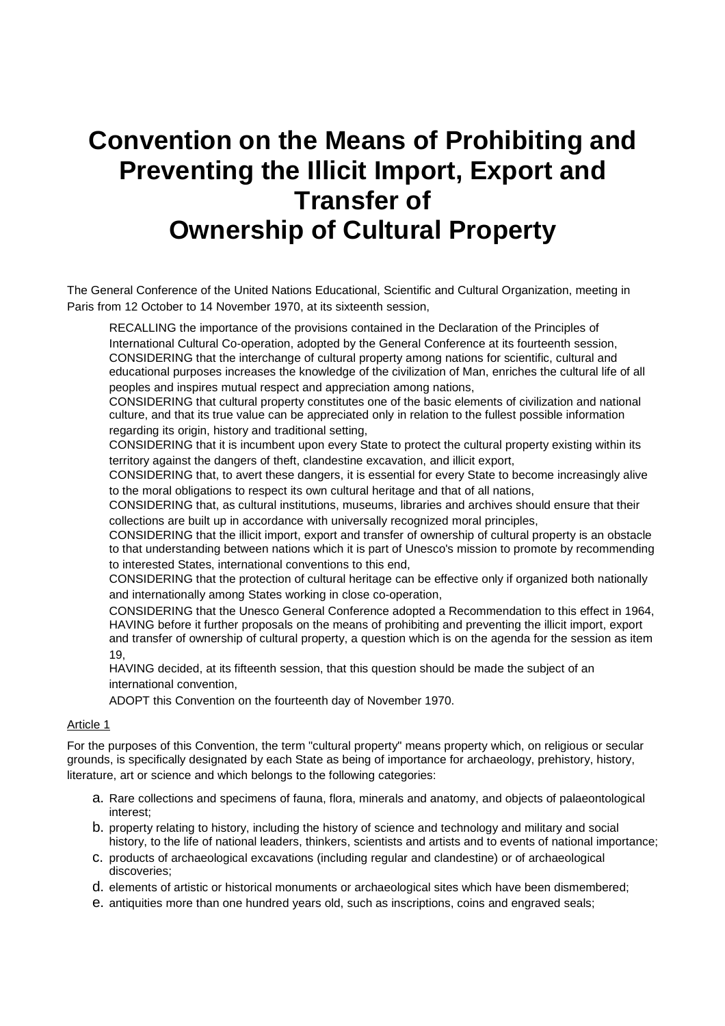# **Convention on the Means of Prohibiting and Preventing the Illicit Import, Export and Transfer of Ownership of Cultural Property**

The General Conference of the United Nations Educational, Scientific and Cultural Organization, meeting in Paris from 12 October to 14 November 1970, at its sixteenth session,

RECALLING the importance of the provisions contained in the Declaration of the Principles of International Cultural Co-operation, adopted by the General Conference at its fourteenth session, CONSIDERING that the interchange of cultural property among nations for scientific, cultural and educational purposes increases the knowledge of the civilization of Man, enriches the cultural life of all peoples and inspires mutual respect and appreciation among nations,

CONSIDERING that cultural property constitutes one of the basic elements of civilization and national culture, and that its true value can be appreciated only in relation to the fullest possible information regarding its origin, history and traditional setting,

CONSIDERING that it is incumbent upon every State to protect the cultural property existing within its territory against the dangers of theft, clandestine excavation, and illicit export,

CONSIDERING that, to avert these dangers, it is essential for every State to become increasingly alive to the moral obligations to respect its own cultural heritage and that of all nations,

CONSIDERING that, as cultural institutions, museums, libraries and archives should ensure that their collections are built up in accordance with universally recognized moral principles,

CONSIDERING that the illicit import, export and transfer of ownership of cultural property is an obstacle to that understanding between nations which it is part of Unesco's mission to promote by recommending to interested States, international conventions to this end,

CONSIDERING that the protection of cultural heritage can be effective only if organized both nationally and internationally among States working in close co-operation,

CONSIDERING that the Unesco General Conference adopted a Recommendation to this effect in 1964, HAVING before it further proposals on the means of prohibiting and preventing the illicit import, export and transfer of ownership of cultural property, a question which is on the agenda for the session as item 19,

HAVING decided, at its fifteenth session, that this question should be made the subject of an international convention,

ADOPT this Convention on the fourteenth day of November 1970.

# Article 1

For the purposes of this Convention, the term "cultural property" means property which, on religious or secular grounds, is specifically designated by each State as being of importance for archaeology, prehistory, history, literature, art or science and which belongs to the following categories:

- a. Rare collections and specimens of fauna, flora, minerals and anatomy, and objects of palaeontological interest;
- b. property relating to history, including the history of science and technology and military and social history, to the life of national leaders, thinkers, scientists and artists and to events of national importance;
- c. products of archaeological excavations (including regular and clandestine) or of archaeological discoveries;
- d. elements of artistic or historical monuments or archaeological sites which have been dismembered;
- e. antiquities more than one hundred years old, such as inscriptions, coins and engraved seals;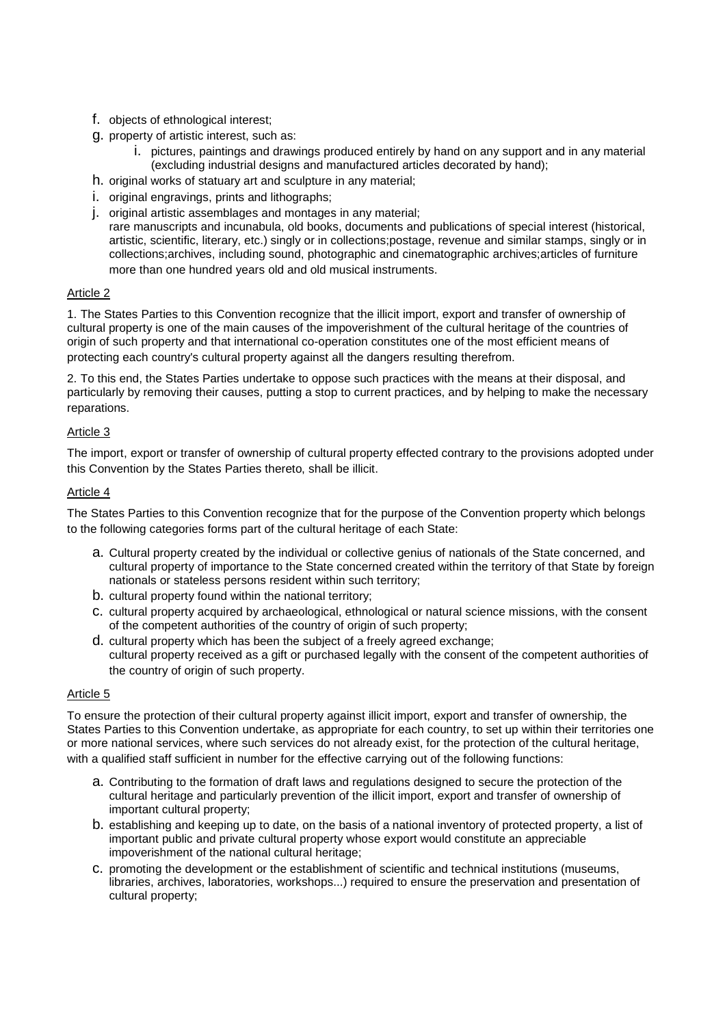- f. objects of ethnological interest;
- g. property of artistic interest, such as:
	- i. pictures, paintings and drawings produced entirely by hand on any support and in any material (excluding industrial designs and manufactured articles decorated by hand);
- h. original works of statuary art and sculpture in any material;
- i. original engravings, prints and lithographs;
- j. original artistic assemblages and montages in any material; rare manuscripts and incunabula, old books, documents and publications of special interest (historical, artistic, scientific, literary, etc.) singly or in collections;postage, revenue and similar stamps, singly or in collections;archives, including sound, photographic and cinematographic archives;articles of furniture more than one hundred years old and old musical instruments.

#### Article 2

1. The States Parties to this Convention recognize that the illicit import, export and transfer of ownership of cultural property is one of the main causes of the impoverishment of the cultural heritage of the countries of origin of such property and that international co-operation constitutes one of the most efficient means of protecting each country's cultural property against all the dangers resulting therefrom.

2. To this end, the States Parties undertake to oppose such practices with the means at their disposal, and particularly by removing their causes, putting a stop to current practices, and by helping to make the necessary reparations.

## Article 3

The import, export or transfer of ownership of cultural property effected contrary to the provisions adopted under this Convention by the States Parties thereto, shall be illicit.

## Article 4

The States Parties to this Convention recognize that for the purpose of the Convention property which belongs to the following categories forms part of the cultural heritage of each State:

- a. Cultural property created by the individual or collective genius of nationals of the State concerned, and cultural property of importance to the State concerned created within the territory of that State by foreign nationals or stateless persons resident within such territory;
- b. cultural property found within the national territory;
- c. cultural property acquired by archaeological, ethnological or natural science missions, with the consent of the competent authorities of the country of origin of such property;
- d. cultural property which has been the subject of a freely agreed exchange; cultural property received as a gift or purchased legally with the consent of the competent authorities of the country of origin of such property.

#### Article 5

To ensure the protection of their cultural property against illicit import, export and transfer of ownership, the States Parties to this Convention undertake, as appropriate for each country, to set up within their territories one or more national services, where such services do not already exist, for the protection of the cultural heritage, with a qualified staff sufficient in number for the effective carrying out of the following functions:

- a. Contributing to the formation of draft laws and regulations designed to secure the protection of the cultural heritage and particularly prevention of the illicit import, export and transfer of ownership of important cultural property;
- b. establishing and keeping up to date, on the basis of a national inventory of protected property, a list of important public and private cultural property whose export would constitute an appreciable impoverishment of the national cultural heritage;
- c. promoting the development or the establishment of scientific and technical institutions (museums, libraries, archives, laboratories, workshops...) required to ensure the preservation and presentation of cultural property;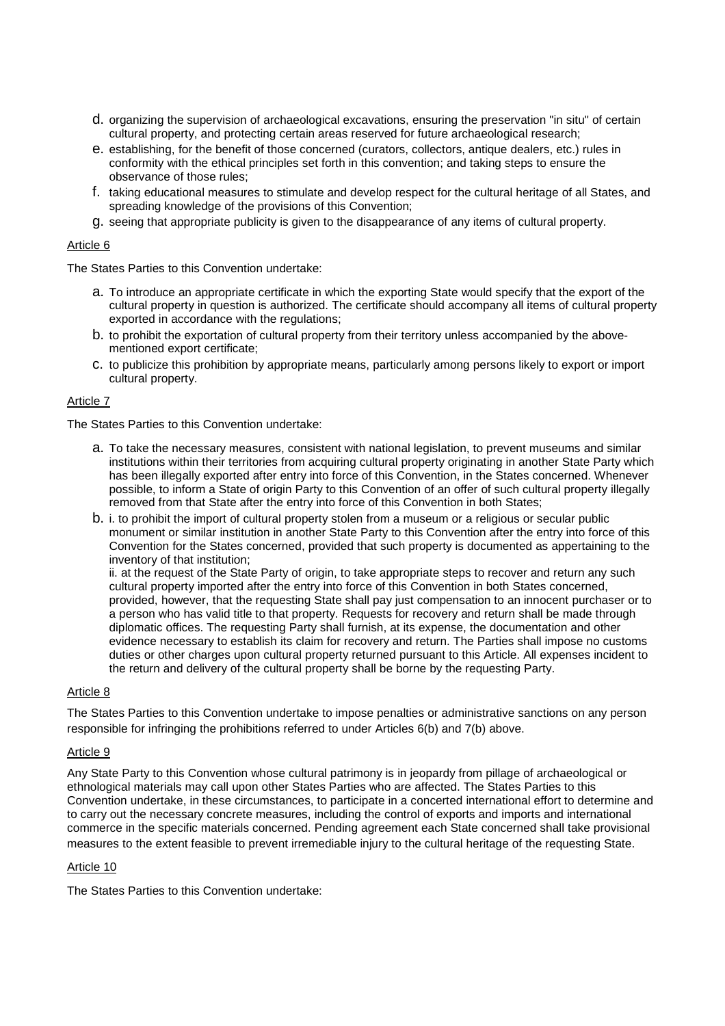- d. organizing the supervision of archaeological excavations, ensuring the preservation "in situ" of certain cultural property, and protecting certain areas reserved for future archaeological research;
- e. establishing, for the benefit of those concerned (curators, collectors, antique dealers, etc.) rules in conformity with the ethical principles set forth in this convention; and taking steps to ensure the observance of those rules;
- f. taking educational measures to stimulate and develop respect for the cultural heritage of all States, and spreading knowledge of the provisions of this Convention;
- g. seeing that appropriate publicity is given to the disappearance of any items of cultural property.

## Article 6

The States Parties to this Convention undertake:

- a. To introduce an appropriate certificate in which the exporting State would specify that the export of the cultural property in question is authorized. The certificate should accompany all items of cultural property exported in accordance with the regulations;
- b. to prohibit the exportation of cultural property from their territory unless accompanied by the abovementioned export certificate;
- c. to publicize this prohibition by appropriate means, particularly among persons likely to export or import cultural property.

#### Article 7

The States Parties to this Convention undertake:

- a. To take the necessary measures, consistent with national legislation, to prevent museums and similar institutions within their territories from acquiring cultural property originating in another State Party which has been illegally exported after entry into force of this Convention, in the States concerned. Whenever possible, to inform a State of origin Party to this Convention of an offer of such cultural property illegally removed from that State after the entry into force of this Convention in both States;
- b. i. to prohibit the import of cultural property stolen from a museum or a religious or secular public monument or similar institution in another State Party to this Convention after the entry into force of this Convention for the States concerned, provided that such property is documented as appertaining to the inventory of that institution;

ii. at the request of the State Party of origin, to take appropriate steps to recover and return any such cultural property imported after the entry into force of this Convention in both States concerned, provided, however, that the requesting State shall pay just compensation to an innocent purchaser or to a person who has valid title to that property. Requests for recovery and return shall be made through diplomatic offices. The requesting Party shall furnish, at its expense, the documentation and other evidence necessary to establish its claim for recovery and return. The Parties shall impose no customs duties or other charges upon cultural property returned pursuant to this Article. All expenses incident to the return and delivery of the cultural property shall be borne by the requesting Party.

#### Article 8

The States Parties to this Convention undertake to impose penalties or administrative sanctions on any person responsible for infringing the prohibitions referred to under Articles 6(b) and 7(b) above.

#### Article 9

Any State Party to this Convention whose cultural patrimony is in jeopardy from pillage of archaeological or ethnological materials may call upon other States Parties who are affected. The States Parties to this Convention undertake, in these circumstances, to participate in a concerted international effort to determine and to carry out the necessary concrete measures, including the control of exports and imports and international commerce in the specific materials concerned. Pending agreement each State concerned shall take provisional measures to the extent feasible to prevent irremediable injury to the cultural heritage of the requesting State.

#### Article 10

The States Parties to this Convention undertake: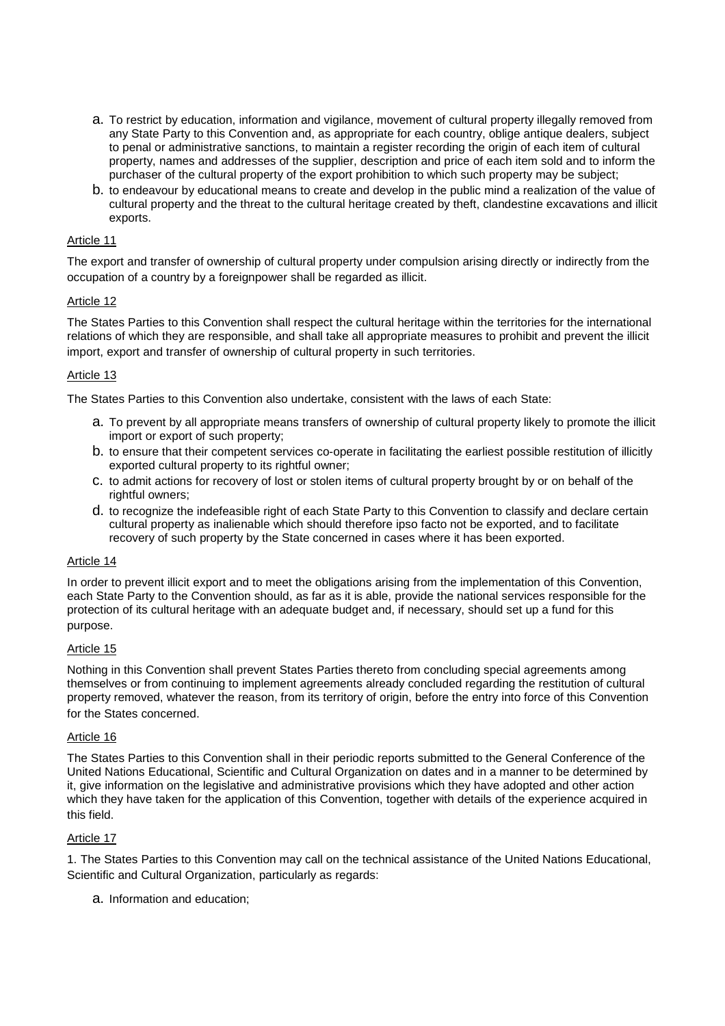- a. To restrict by education, information and vigilance, movement of cultural property illegally removed from any State Party to this Convention and, as appropriate for each country, oblige antique dealers, subject to penal or administrative sanctions, to maintain a register recording the origin of each item of cultural property, names and addresses of the supplier, description and price of each item sold and to inform the purchaser of the cultural property of the export prohibition to which such property may be subject;
- b. to endeavour by educational means to create and develop in the public mind a realization of the value of cultural property and the threat to the cultural heritage created by theft, clandestine excavations and illicit exports.

## Article 11

The export and transfer of ownership of cultural property under compulsion arising directly or indirectly from the occupation of a country by a foreignpower shall be regarded as illicit.

## Article 12

The States Parties to this Convention shall respect the cultural heritage within the territories for the international relations of which they are responsible, and shall take all appropriate measures to prohibit and prevent the illicit import, export and transfer of ownership of cultural property in such territories.

# Article 13

The States Parties to this Convention also undertake, consistent with the laws of each State:

- a. To prevent by all appropriate means transfers of ownership of cultural property likely to promote the illicit import or export of such property;
- b. to ensure that their competent services co-operate in facilitating the earliest possible restitution of illicitly exported cultural property to its rightful owner;
- c. to admit actions for recovery of lost or stolen items of cultural property brought by or on behalf of the rightful owners;
- d. to recognize the indefeasible right of each State Party to this Convention to classify and declare certain cultural property as inalienable which should therefore ipso facto not be exported, and to facilitate recovery of such property by the State concerned in cases where it has been exported.

#### Article 14

In order to prevent illicit export and to meet the obligations arising from the implementation of this Convention, each State Party to the Convention should, as far as it is able, provide the national services responsible for the protection of its cultural heritage with an adequate budget and, if necessary, should set up a fund for this purpose.

#### Article 15

Nothing in this Convention shall prevent States Parties thereto from concluding special agreements among themselves or from continuing to implement agreements already concluded regarding the restitution of cultural property removed, whatever the reason, from its territory of origin, before the entry into force of this Convention for the States concerned.

#### Article 16

The States Parties to this Convention shall in their periodic reports submitted to the General Conference of the United Nations Educational, Scientific and Cultural Organization on dates and in a manner to be determined by it, give information on the legislative and administrative provisions which they have adopted and other action which they have taken for the application of this Convention, together with details of the experience acquired in this field.

#### Article 17

1. The States Parties to this Convention may call on the technical assistance of the United Nations Educational, Scientific and Cultural Organization, particularly as regards:

a. Information and education;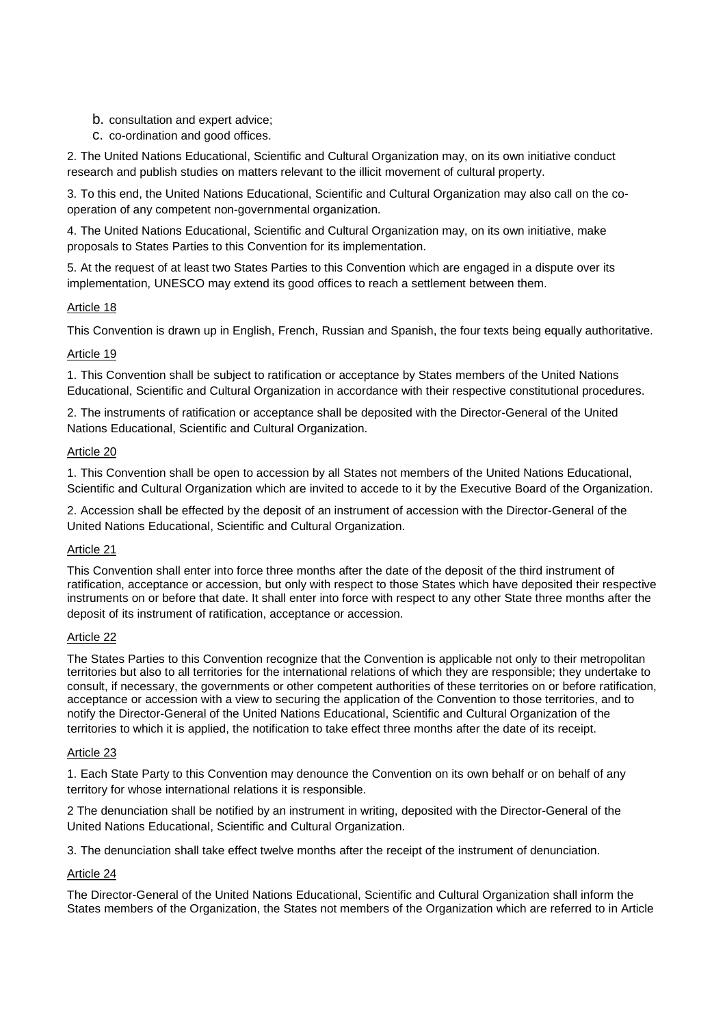- b. consultation and expert advice;
- c. co-ordination and good offices.

2. The United Nations Educational, Scientific and Cultural Organization may, on its own initiative conduct research and publish studies on matters relevant to the illicit movement of cultural property.

3. To this end, the United Nations Educational, Scientific and Cultural Organization may also call on the cooperation of any competent non-governmental organization.

4. The United Nations Educational, Scientific and Cultural Organization may, on its own initiative, make proposals to States Parties to this Convention for its implementation.

5. At the request of at least two States Parties to this Convention which are engaged in a dispute over its implementation, UNESCO may extend its good offices to reach a settlement between them.

# Article 18

This Convention is drawn up in English, French, Russian and Spanish, the four texts being equally authoritative.

# Article 19

1. This Convention shall be subject to ratification or acceptance by States members of the United Nations Educational, Scientific and Cultural Organization in accordance with their respective constitutional procedures.

2. The instruments of ratification or acceptance shall be deposited with the Director-General of the United Nations Educational, Scientific and Cultural Organization.

# Article 20

1. This Convention shall be open to accession by all States not members of the United Nations Educational, Scientific and Cultural Organization which are invited to accede to it by the Executive Board of the Organization.

2. Accession shall be effected by the deposit of an instrument of accession with the Director-General of the United Nations Educational, Scientific and Cultural Organization.

# Article 21

This Convention shall enter into force three months after the date of the deposit of the third instrument of ratification, acceptance or accession, but only with respect to those States which have deposited their respective instruments on or before that date. It shall enter into force with respect to any other State three months after the deposit of its instrument of ratification, acceptance or accession.

# Article 22

The States Parties to this Convention recognize that the Convention is applicable not only to their metropolitan territories but also to all territories for the international relations of which they are responsible; they undertake to consult, if necessary, the governments or other competent authorities of these territories on or before ratification, acceptance or accession with a view to securing the application of the Convention to those territories, and to notify the Director-General of the United Nations Educational, Scientific and Cultural Organization of the territories to which it is applied, the notification to take effect three months after the date of its receipt.

# Article 23

1. Each State Party to this Convention may denounce the Convention on its own behalf or on behalf of any territory for whose international relations it is responsible.

2 The denunciation shall be notified by an instrument in writing, deposited with the Director-General of the United Nations Educational, Scientific and Cultural Organization.

3. The denunciation shall take effect twelve months after the receipt of the instrument of denunciation.

# Article 24

The Director-General of the United Nations Educational, Scientific and Cultural Organization shall inform the States members of the Organization, the States not members of the Organization which are referred to in Article